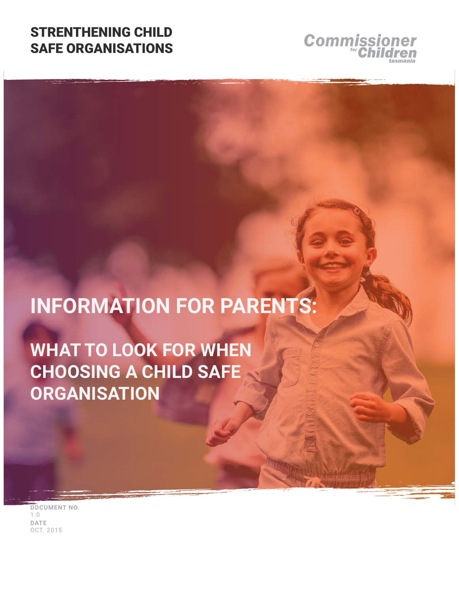### STRENTHENING CHILD SAFE ORGANISATIONS



# **INFORMATION FOR PARENTS:**

**WHAT TO LOOK FOR WHEN CHOOSING A CHILD SAFE ORGANISATION**

**DOCUMENT NO.** 1.0 **DATE** OCT. 2015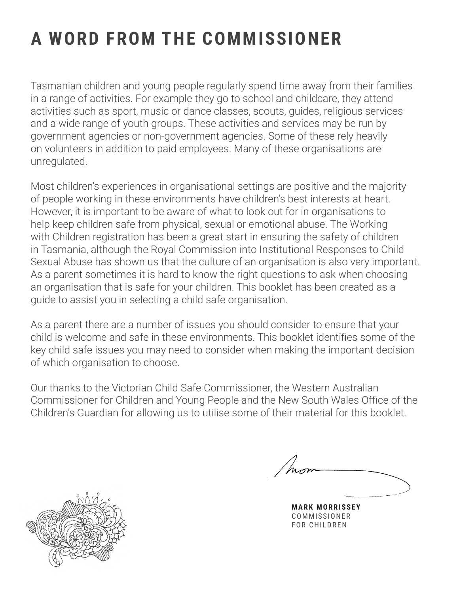## **A WORD FROM THE COMMISSIONER**

Tasmanian children and young people regularly spend time away from their families in a range of activities. For example they go to school and childcare, they attend activities such as sport, music or dance classes, scouts, guides, religious services and a wide range of youth groups. These activities and services may be run by government agencies or non-government agencies. Some of these rely heavily on volunteers in addition to paid employees. Many of these organisations are unregulated.

Most children's experiences in organisational settings are positive and the majority of people working in these environments have children's best interests at heart. However, it is important to be aware of what to look out for in organisations to help keep children safe from physical, sexual or emotional abuse. The Working with Children registration has been a great start in ensuring the safety of children in Tasmania, although the Royal Commission into Institutional Responses to Child Sexual Abuse has shown us that the culture of an organisation is also very important. As a parent sometimes it is hard to know the right questions to ask when choosing an organisation that is safe for your children. This booklet has been created as a guide to assist you in selecting a child safe organisation.

As a parent there are a number of issues you should consider to ensure that your child is welcome and safe in these environments. This booklet identifies some of the key child safe issues you may need to consider when making the important decision of which organisation to choose.

Our thanks to the Victorian Child Safe Commissioner, the Western Australian Commissioner for Children and Young People and the New South Wales Office of the Children's Guardian for allowing us to utilise some of their material for this booklet.



**RK MORRISSEY** COMMISSIONER FOR CHILDREN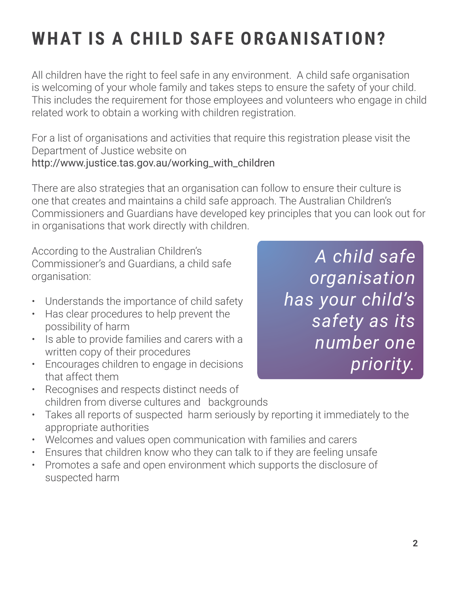## **WHAT IS A CHILD SAFE ORGANISATION?**

All children have the right to feel safe in any environment. A child safe organisation is welcoming of your whole family and takes steps to ensure the safety of your child. This includes the requirement for those employees and volunteers who engage in child related work to obtain a working with children registration.

For a list of organisations and activities that require this registration please visit the Department of Justice website on http://www.justice.tas.gov.au/working\_with\_children

There are also strategies that an organisation can follow to ensure their culture is one that creates and maintains a child safe approach. The Australian Children's Commissioners and Guardians have developed key principles that you can look out for in organisations that work directly with children.

According to the Australian Children's Commissioner's and Guardians, a child safe organisation:

- Understands the importance of child safety
- Has clear procedures to help prevent the possibility of harm
- Is able to provide families and carers with a written copy of their procedures
- Encourages children to engage in decisions that affect them
- Recognises and respects distinct needs of children from diverse cultures and backgrounds
- Takes all reports of suspected harm seriously by reporting it immediately to the appropriate authorities
- Welcomes and values open communication with families and carers
- Ensures that children know who they can talk to if they are feeling unsafe
- Promotes a safe and open environment which supports the disclosure of suspected harm

*A child safe organisation has your child's safety as its number one priority.*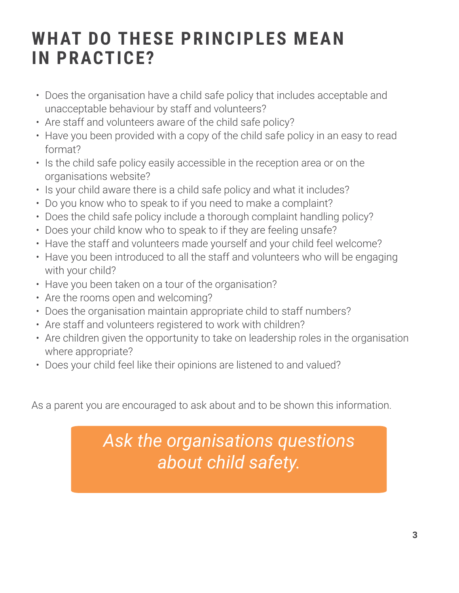### **WHAT DO THESE PRINCIPLES MEAN IN PRACTICE?**

- Does the organisation have a child safe policy that includes acceptable and unacceptable behaviour by staff and volunteers?
- Are staff and volunteers aware of the child safe policy?
- Have you been provided with a copy of the child safe policy in an easy to read format?
- Is the child safe policy easily accessible in the reception area or on the organisations website?
- Is your child aware there is a child safe policy and what it includes?
- Do you know who to speak to if you need to make a complaint?
- Does the child safe policy include a thorough complaint handling policy?
- Does your child know who to speak to if they are feeling unsafe?
- Have the staff and volunteers made yourself and your child feel welcome?
- Have you been introduced to all the staff and volunteers who will be engaging with your child?
- Have you been taken on a tour of the organisation?
- Are the rooms open and welcoming?
- Does the organisation maintain appropriate child to staff numbers?
- Are staff and volunteers registered to work with children?
- Are children given the opportunity to take on leadership roles in the organisation where appropriate?
- Does your child feel like their opinions are listened to and valued?

As a parent you are encouraged to ask about and to be shown this information.

### *Ask the organisations questions about child safety.*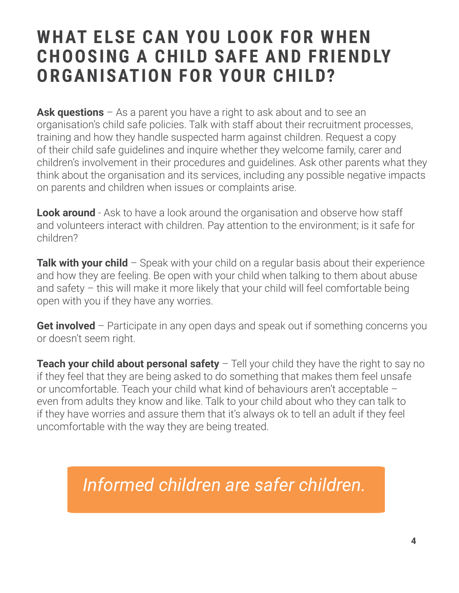### **WHAT ELSE CAN YOU LOOK FOR WHEN CHOOSING A CHILD SAFE AND FRIENDLY ORGANISATION FOR YOUR CHILD?**

**Ask questions** – As a parent you have a right to ask about and to see an organisation's child safe policies. Talk with staff about their recruitment processes, training and how they handle suspected harm against children. Request a copy of their child safe guidelines and inquire whether they welcome family, carer and children's involvement in their procedures and guidelines. Ask other parents what they think about the organisation and its services, including any possible negative impacts on parents and children when issues or complaints arise.

**Look around** - Ask to have a look around the organisation and observe how staff and volunteers interact with children. Pay attention to the environment; is it safe for children?

**Talk with your child** – Speak with your child on a regular basis about their experience and how they are feeling. Be open with your child when talking to them about abuse and safety – this will make it more likely that your child will feel comfortable being open with you if they have any worries.

**Get involved** – Participate in any open days and speak out if something concerns you or doesn't seem right.

**Teach your child about personal safety** – Tell your child they have the right to say no if they feel that they are being asked to do something that makes them feel unsafe or uncomfortable. Teach your child what kind of behaviours aren't acceptable – even from adults they know and like. Talk to your child about who they can talk to if they have worries and assure them that it's always ok to tell an adult if they feel uncomfortable with the way they are being treated.

*Informed children are safer children.*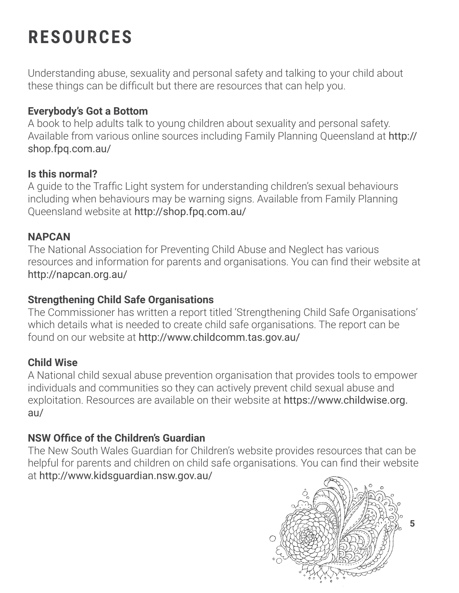## **RESOURCES**

Understanding abuse, sexuality and personal safety and talking to your child about these things can be difficult but there are resources that can help you.

### **Everybody's Got a Bottom**

A book to help adults talk to young children about sexuality and personal safety. Available from various online sources including Family Planning Queensland at http:// shop.fpq.com.au/

#### **Is this normal?**

A guide to the Traffic Light system for understanding children's sexual behaviours including when behaviours may be warning signs. Available from Family Planning Queensland website at http://shop.fpq.com.au/

#### **NAPCAN**

The National Association for Preventing Child Abuse and Neglect has various resources and information for parents and organisations. You can find their website at http://napcan.org.au/

#### **Strengthening Child Safe Organisations**

The Commissioner has written a report titled 'Strengthening Child Safe Organisations' which details what is needed to create child safe organisations. The report can be found on our website at http://www.childcomm.tas.gov.au/

### **Child Wise**

A National child sexual abuse prevention organisation that provides tools to empower individuals and communities so they can actively prevent child sexual abuse and exploitation. Resources are available on their website at https://www.childwise.org. au/

### **NSW Office of the Children's Guardian**

The New South Wales Guardian for Children's website provides resources that can be helpful for parents and children on child safe organisations. You can find their website at http://www.kidsguardian.nsw.gov.au/